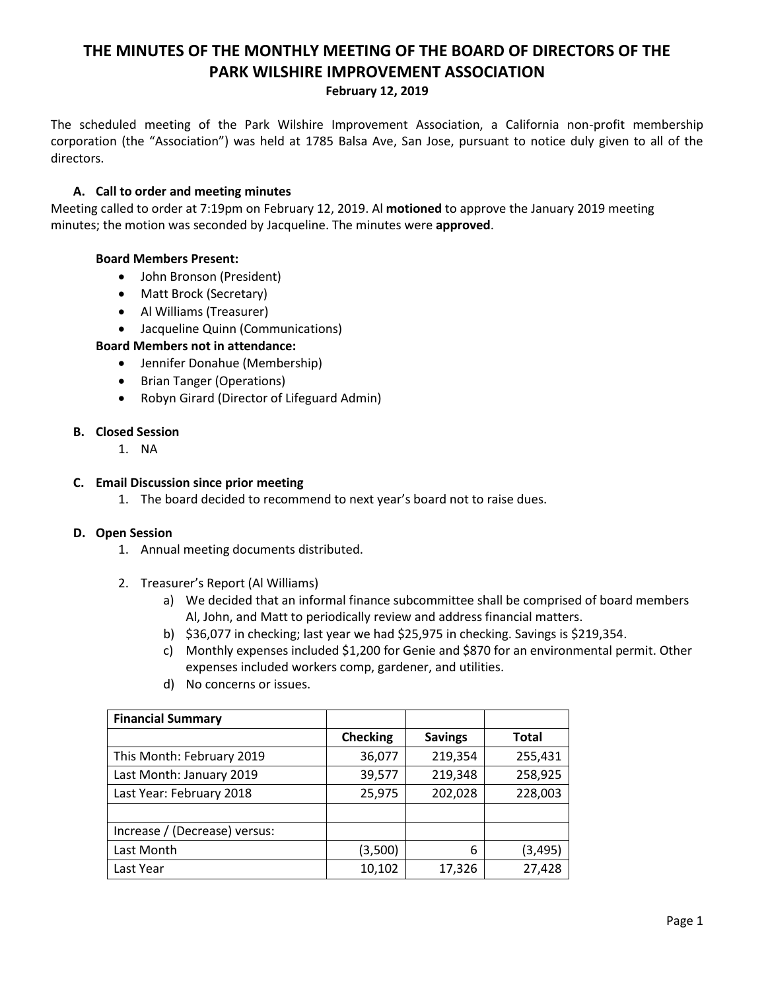# **THE MINUTES OF THE MONTHLY MEETING OF THE BOARD OF DIRECTORS OF THE PARK WILSHIRE IMPROVEMENT ASSOCIATION**

## **February 12, 2019**

The scheduled meeting of the Park Wilshire Improvement Association, a California non-profit membership corporation (the "Association") was held at 1785 Balsa Ave, San Jose, pursuant to notice duly given to all of the directors.

# **A. Call to order and meeting minutes**

Meeting called to order at 7:19pm on February 12, 2019. Al **motioned** to approve the January 2019 meeting minutes; the motion was seconded by Jacqueline. The minutes were **approved**.

## **Board Members Present:**

- John Bronson (President)
- Matt Brock (Secretary)
- Al Williams (Treasurer)
- Jacqueline Quinn (Communications)

# **Board Members not in attendance:**

- Jennifer Donahue (Membership)
- Brian Tanger (Operations)
- Robyn Girard (Director of Lifeguard Admin)

#### **B. Closed Session**

1. NA

## **C. Email Discussion since prior meeting**

1. The board decided to recommend to next year's board not to raise dues.

#### **D. Open Session**

- 1. Annual meeting documents distributed.
- 2. Treasurer's Report (Al Williams)
	- a) We decided that an informal finance subcommittee shall be comprised of board members Al, John, and Matt to periodically review and address financial matters.
	- b) \$36,077 in checking; last year we had \$25,975 in checking. Savings is \$219,354.
	- c) Monthly expenses included \$1,200 for Genie and \$870 for an environmental permit. Other expenses included workers comp, gardener, and utilities.
	- d) No concerns or issues.

| <b>Financial Summary</b>      |                 |                |          |
|-------------------------------|-----------------|----------------|----------|
|                               | <b>Checking</b> | <b>Savings</b> | Total    |
| This Month: February 2019     | 36,077          | 219,354        | 255,431  |
| Last Month: January 2019      | 39,577          | 219,348        | 258,925  |
| Last Year: February 2018      | 25,975          | 202,028        | 228,003  |
|                               |                 |                |          |
| Increase / (Decrease) versus: |                 |                |          |
| Last Month                    | (3,500)         | 6              | (3, 495) |
| Last Year                     | 10,102          | 17,326         | 27,428   |